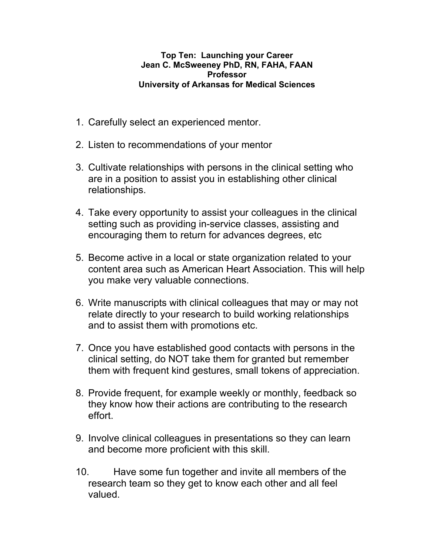## **Top Ten: Launching your Career Jean C. McSweeney PhD, RN, FAHA, FAAN Professor University of Arkansas for Medical Sciences**

- 1. Carefully select an experienced mentor.
- 2. Listen to recommendations of your mentor
- 3. Cultivate relationships with persons in the clinical setting who are in a position to assist you in establishing other clinical relationships.
- 4. Take every opportunity to assist your colleagues in the clinical setting such as providing in-service classes, assisting and encouraging them to return for advances degrees, etc
- 5. Become active in a local or state organization related to your content area such as American Heart Association. This will help you make very valuable connections.
- 6. Write manuscripts with clinical colleagues that may or may not relate directly to your research to build working relationships and to assist them with promotions etc.
- 7. Once you have established good contacts with persons in the clinical setting, do NOT take them for granted but remember them with frequent kind gestures, small tokens of appreciation.
- 8. Provide frequent, for example weekly or monthly, feedback so they know how their actions are contributing to the research effort.
- 9. Involve clinical colleagues in presentations so they can learn and become more proficient with this skill.
- 10. Have some fun together and invite all members of the research team so they get to know each other and all feel valued.